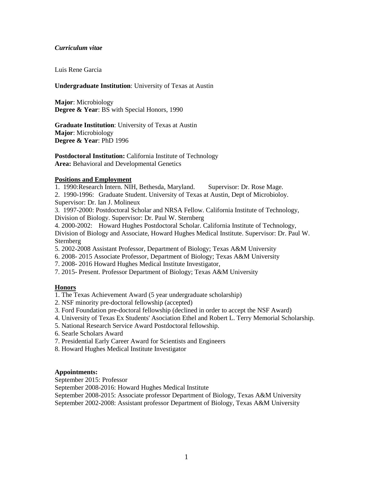### *Curriculum vitae*

Luis Rene Garcia

### **Undergraduate Institution**: University of Texas at Austin

**Major**: Microbiology **Degree & Year**: BS with Special Honors, 1990

**Graduate Institution**: University of Texas at Austin **Major**: Microbiology **Degree & Year**: PhD 1996

**Postdoctoral Institution:** California Institute of Technology **Area:** Behavioral and Developmental Genetics

## **Positions and Employment**

1. 1990:Research Intern. NIH, Bethesda, Maryland. Supervisor: Dr. Rose Mage.

2. 1990-1996: Graduate Student. University of Texas at Austin, Dept of Microbioloy.

Supervisor: Dr. Ian J. Molineux

3. 1997-2000: Postdoctoral Scholar and NRSA Fellow. California Institute of Technology, Division of Biology. Supervisor: Dr. Paul W. Sternberg

4. 2000-2002: Howard Hughes Postdoctoral Scholar. California Institute of Technology, Division of Biology and Associate, Howard Hughes Medical Institute. Supervisor: Dr. Paul W. Sternberg

5. 2002-2008 Assistant Professor, Department of Biology; Texas A&M University

- 6. 2008- 2015 Associate Professor, Department of Biology; Texas A&M University
- 7. 2008- 2016 Howard Hughes Medical Institute Investigator,
- 7. 2015- Present. Professor Department of Biology; Texas A&M University

## **Honors**

1. The Texas Achievement Award (5 year undergraduate scholarship)

- 2. NSF minority pre-doctoral fellowship (accepted)
- 3. Ford Foundation pre-doctoral fellowship (declined in order to accept the NSF Award)
- 4. University of Texas Ex Students' Asociation Ethel and Robert L. Terry Memorial Scholarship.
- 5. National Research Service Award Postdoctoral fellowship.
- 6. Searle Scholars Award
- 7. Presidential Early Career Award for Scientists and Engineers
- 8. Howard Hughes Medical Institute Investigator

## **Appointments:**

September 2015: Professor

September 2008-2016: Howard Hughes Medical Institute

September 2008-2015: Associate professor Department of Biology, Texas A&M University September 2002-2008: Assistant professor Department of Biology, Texas A&M University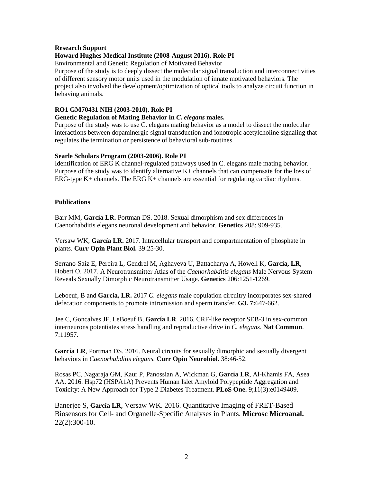### **Research Support**

# **Howard Hughes Medical Institute (2008-August 2016). Role PI**

Environmental and Genetic Regulation of Motivated Behavior

Purpose of the study is to deeply dissect the molecular signal transduction and interconnectivities of different sensory motor units used in the modulation of innate motivated behaviors. The project also involved the development/optimization of optical tools to analyze circuit function in behaving animals.

## **RO1 GM70431 NIH (2003-2010). Role PI**

## **Genetic Regulation of Mating Behavior in** *C. elegans* **males.**

Purpose of the study was to use C. elegans mating behavior as a model to dissect the molecular interactions between dopaminergic signal transduction and ionotropic acetylcholine signaling that regulates the termination or persistence of behavioral sub-routines.

## **Searle Scholars Program (2003-2006). Role PI**

Identification of ERG K channel-regulated pathways used in C. elegans male mating behavior. Purpose of the study was to identify alternative K+ channels that can compensate for the loss of ERG-type  $K<sub>+</sub>$  channels. The ERG  $K<sub>+</sub>$  channels are essential for regulating cardiac rhythms.

### **Publications**

Barr MM, **García LR.** Portman DS. 2018. Sexual dimorphism and sex differences in Caenorhabditis elegans neuronal development and behavior. **Genetics** 208: 909-935.

Versaw WK, **García LR.** 2017. Intracellular transport and compartmentation of phosphate in plants. **Curr Opin Plant Biol.** 39:25-30.

Serrano-Saiz E, Pereira L, Gendrel M, Aghayeva U, Battacharya A, Howell K, **García, LR**, Hobert O. 2017. A Neurotransmitter Atlas of the *Caenorhabditis elegans* Male Nervous System Reveals Sexually Dimorphic Neurotransmitter Usage. **Genetics** 206:1251-1269.

Leboeuf, B and **García, LR.** 2017 *C. elegans* male copulation circuitry incorporates sex-shared defecation components to promote intromission and sperm transfer. **G3. 7:**647-662.

Jee C, Goncalves JF, LeBoeuf B, **García LR**. 2016. CRF-like receptor SEB-3 in sex-common interneurons potentiates stress handling and reproductive drive in *C. elegans*. **Nat Commun**. 7:11957.

**García LR**, Portman DS. 2016. Neural circuits for sexually dimorphic and sexually divergent behaviors in *Caenorhabditis elegans.* **Curr Opin Neurobiol.** 38:46-52.

Rosas PC, Nagaraja GM, Kaur P, Panossian A, Wickman G, **García LR**, Al-Khamis FA, Asea AA. 2016. Hsp72 (HSPA1A) Prevents Human Islet Amyloid Polypeptide Aggregation and Toxicity: A New Approach for Type 2 Diabetes Treatment. **PLoS One.** 9;11(3):e0149409.

Banerjee S, **García LR**, Versaw WK. 2016. Quantitative Imaging of FRET-Based Biosensors for Cell- and Organelle-Specific Analyses in Plants. **Microsc Microanal.** 22(2):300-10.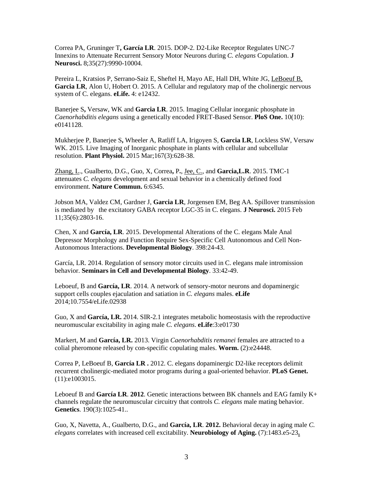Correa PA, Gruninger T**, García LR**. 2015. DOP-2. D2-Like Receptor Regulates UNC-7 Innexins to Attenuate Recurrent Sensory Motor Neurons during *C. elegans* Copulation. **J Neurosci.** 8;35(27):9990-10004.

Pereira L, Kratsios P, Serrano-Saiz E, Sheftel H, Mayo AE, Hall DH, White JG, LeBoeuf B, **Garcia LR**, Alon U, Hobert O. 2015. A Cellular and regulatory map of the cholinergic nervous system of C. elegans. **eLife.** 4: e12432.

Banerjee S**,** Versaw, WK and **Garcia LR**. 2015. Imaging Cellular inorganic phosphate in *Caenorhabditis elegans* using a genetically encoded FRET-Based Sensor. **PloS One.** 10(10): e0141128.

Mukherjee P, Banerjee S**,** Wheeler A, Ratliff LA, Irigoyen S, **Garcia LR**, Lockless SW, Versaw WK. 2015. Live Imaging of Inorganic phosphate in plants with cellular and subcellular resolution. **Plant Physiol.** 2015 Mar;167(3):628-38.

Zhang, L., Gualberto, D.G., Guo, X, Correa**,** P**.**, Jee, C., and **Garcia,L.R**. 2015. TMC-1 attenuates *C. elegans* development and sexual behavior in a chemically defined food environment. **Nature Commun.** 6:6345.

Jobson MA, Valdez CM, Gardner J, **Garcia LR**, Jorgensen EM, Beg AA. Spillover transmission is mediated by the excitatory GABA receptor LGC-35 in C. elegans. **J Neurosci.** 2015 Feb 11;35(6):2803-16.

Chen, X and **García, LR**. 2015. Developmental Alterations of the C. elegans Male Anal Depressor Morphology and Function Require Sex-Specific Cell Autonomous and Cell Non-Autonomous Interactions. **Developmental Biology**. 398:24-43.

García, LR. 2014. Regulation of sensory motor circuits used in C. elegans male intromission behavior. **Seminars in Cell and Developmental Biology**. 33:42-49.

Leboeuf, B and **García, LR**. 2014. A network of sensory-motor neurons and dopaminergic support cells couples ejaculation and satiation in *C. elegans* males. **eLife** 2014;10.7554/eLife.02938

Guo, X and **García, LR.** 2014. SIR-2.1 integrates metabolic homeostasis with the reproductive neuromuscular excitability in aging male *C. elegans*. **eLife**:3:e01730

Markert, M and **García, LR.** 2013. Virgin *Caenorhabditis remanei* females are attracted to a colial pheromone released by con-specific copulating males. **Worm.** (2):e24448.

Correa P, LeBoeuf B, **García LR .** 2012. C. elegans [dopaminergic D2-like receptors delimit](http://www.ncbi.nlm.nih.gov/pubmed/23166505)  [recurrent cholinergic-mediated motor programs during a goal-oriented behavior.](http://www.ncbi.nlm.nih.gov/pubmed/23166505) **PLoS Genet.** (11):e1003015.

Leboeuf B and **García LR**. **2012**. Genetic interactions between BK channels and EAG family K+ channels regulate the neuromuscular circuitry that controls *C. elegans* male mating behavior. **Genetics**. 190(3):1025-41..

Guo, X, Navetta, A., Gualberto, D.G., and **García, LR**. **2012.** Behavioral decay in aging male *C. elegans* correlates with increased cell excitability. **Neurobiology of Aging.** (7):1483.e5-23**.**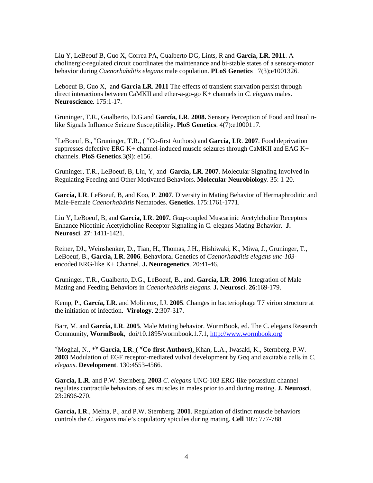Liu Y, LeBeouf B, Guo X, Correa PA, Gualberto DG, Lints, R and **García, LR**. **2011**. A cholinergic-regulated circuit coordinates the maintenance and bi-stable states of a sensory-motor behavior during *Caenorhabditis elegans* male copulation. **PLoS Genetics** 7(3);e1001326.

Leboeuf B, Guo X, and **García LR**. **2011** The effects of transient starvation persist through direct interactions between CaMKII and ether-a-go-go K+ channels in *C. elegans* males. **Neuroscience**. 175:1-17.

Gruninger, T.R., Gualberto, D.G.and **García, LR**. **2008.** Sensory Perception of Food and Insulinlike Signals Influence Seizure Susceptibility. **PloS Genetics**. 4(7):e1000117.

<sup>∀</sup>LeBoeuf, B., <sup>∀</sup>Gruninger, T.R., ( <sup>∀</sup>Co-first Authors) and **García, LR**. **2007**. Food deprivation suppresses defective ERG  $K+$  channel-induced muscle seizures through CaMKII and EAG  $K+$ channels. **PloS Genetics**.3(9): e156.

Gruninger, T.R., LeBoeuf, B, Liu, Y, and **García, LR**. **2007**. Molecular Signaling Involved in Regulating Feeding and Other Motivated Behaviors. **Molecular Neurobiology**. 35: 1-20.

**García, LR**. LeBoeuf, B, and Koo, P. **2007**. Diversity in Mating Behavior of Hermaphroditic and Male-Female *Caenorhabditis* Nematodes. **Genetics**. 175:1761-1771.

Liu Y, LeBoeuf, B, and **García, LR**. **2007.** Gαq-coupled Muscarinic Acetylcholine Receptors Enhance Nicotinic Acetylcholine Receptor Signaling in C. elegans Mating Behavior. **J. Neurosci**. **27**: 1411-1421.

Reiner, DJ., Weinshenker, D., Tian, H., Thomas, J.H., Hishiwaki, K., Miwa, J., Gruninger, T., LeBoeuf, B., **García, LR**. **2006**. Behavioral Genetics of *Caenorhabditis elegans unc-103* encoded ERG-like K+ Channel. **J. Neurogenetics**. 20:41-46.

Gruninger, T.R., Gualberto, D.G., LeBoeuf, B., and. **García, LR**. **2006**. Integration of Male Mating and Feeding Behaviors in *Caenorhabditis elegans*. **J. Neurosci**. **26**:169-179.

Kemp, P., **García, LR**. and Molineux, I.J. **2005**. Changes in bacteriophage T7 virion structure at the initiation of infection. **Virology**. 2:307-317.

Barr, M. and **García, LR**. **2005**. Male Mating behavior. WormBook, ed. The C. elegans Research Community, **WormBook**, doi/10.1895/wormbook.1.7.1, [http://www.wormbook.org](http://www.wormbook.org/)

<sup>∀</sup>Moghal, N., \*<sup>∀</sup> **García, LR**. **(** <sup>∀</sup>**Co-first Authors)**, Khan, L.A., Iwasaki, K., Sternberg, P.W. **2003** Modulation of EGF receptor-mediated vulval development by Gαq and excitable cells in *C. elegans*. **Development**. 130:4553-4566.

**Garcia, L.R**. and P.W. Sternberg. **2003** *C. elegans* UNC-103 ERG-like potassium channel regulates contractile behaviors of sex muscles in males prior to and during mating. **J. Neurosci**. 23:2696-270.

**García, LR**., Mehta, P., and P.W. Sternberg. **2001**. Regulation of distinct muscle behaviors controls the *C. elegans* male's copulatory spicules during mating. **Cell** 107: 777-788